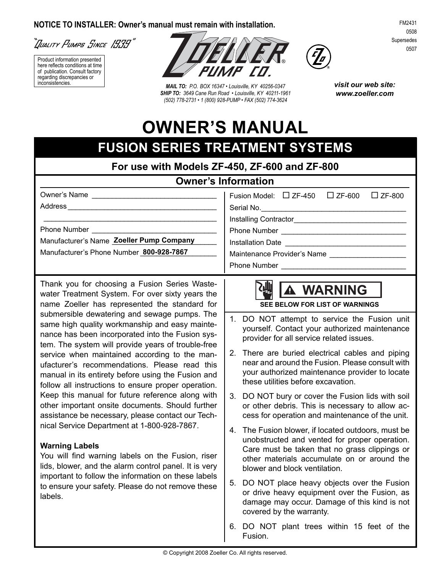#### **NOTICE TO INSTALLER: Owner's manual must remain with installation.**

``]uality Pumpe Since 1939 <sup>"</sup>

Product information presented here reflects conditions at time of publication. Consult factory regarding discrepancies or



in con sis ten cies. *MAIL TO: P.O. BOX 16347 • Louisville, KY 40256-0347 SHIP TO: 3649 Cane Run Road • Louisville, KY 40211-1961 (502) 778-2731 • 1 (800) 928-PUMP • FAX (502) 774-3624*



*visit our web site: www.zoeller.com*

# **OWNER'S MANUAL**

## **FUSION SERIES TREATMENT SYSTEMS**

**For use with Models ZF-450, ZF-600 and ZF-800**

## **Owner's Information**

| Owner's Name<br><u> 1980 - John Stein, Amerikaansk kanton op de Fryske kanton op de Fryske kanton op de Fryske kanton op de Frys</u> | Fusion Model: $\Box$ ZF-450 $\Box$ ZF-600<br>$\Box$ ZF-800 |
|--------------------------------------------------------------------------------------------------------------------------------------|------------------------------------------------------------|
| Address                                                                                                                              | Serial No. <u>Communications</u>                           |
|                                                                                                                                      |                                                            |
| Phone Number                                                                                                                         |                                                            |
| Manufacturer's Name Zoeller Pump Company                                                                                             | Installation Date                                          |
| Manufacturer's Phone Number 800-928-7867                                                                                             | Maintenance Provider's Name                                |
|                                                                                                                                      |                                                            |

Thank you for choosing a Fusion Series Wastewater Treatment System. For over sixty years the name Zoeller has represented the standard for submersible dewatering and sewage pumps. The same high quality workmanship and easy maintenance has been incorporated into the Fusion system. The system will provide years of trouble-free service when maintained according to the manufacturer's recommendations. Please read this manual in its entirety before using the Fusion and follow all instructions to ensure proper operation. Keep this manual for future reference along with other important onsite documents. Should further assistance be necessary, please contact our Technical Service Department at 1-800-928-7867.

#### **Warning Labels**

You will find warning labels on the Fusion, riser lids, blower, and the alarm control panel. It is very important to follow the information on these labels to ensure your safety. Please do not remove these labels.

## **WARNING**

**SEE BELOW FOR LIST OF WARNINGS**

- DO NOT attempt to service the Fusion unit yourself. Contact your authorized maintenance provider for all service related issues. 1.
- 2. There are buried electrical cables and piping near and around the Fusion. Please consult with your authorized maintenance provider to locate these utilities before excavation.
- 3. DO NOT bury or cover the Fusion lids with soil or other debris. This is necessary to allow access for operation and maintenance of the unit.
- 4. The Fusion blower, if located outdoors, must be unobstructed and vented for proper operation. Care must be taken that no grass clippings or other materials accumulate on or around the blower and block ventilation.
- 5. DO NOT place heavy objects over the Fusion or drive heavy equipment over the Fusion, as damage may occur. Damage of this kind is not covered by the warranty.
- 6. DO NOT plant trees within 15 feet of the Fusion.

FM2431 0508 Supersedes 0507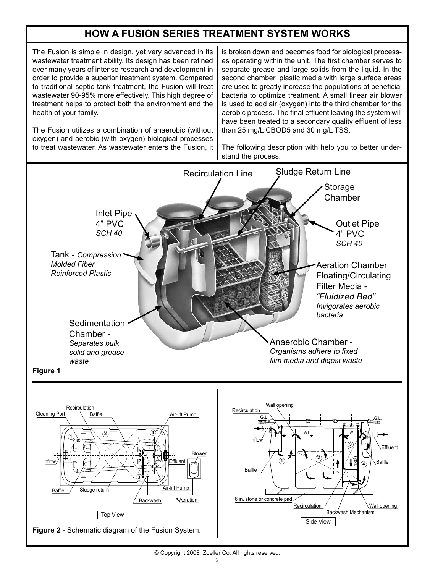## **HOW A FUSION SERIES TREATMENT SYSTEM WORKS**

The Fusion is simple in design, yet very advanced in its wastewater treatment ability. Its design has been refined over many years of intense research and development in order to provide a superior treatment system. Compared to traditional septic tank treatment, the Fusion will treat wastewater 90-95% more effectively. This high degree of treatment helps to protect both the environment and the health of your family.

The Fusion utilizes a combination of anaerobic (without oxygen) and aerobic (with oxygen) biological processes to treat wastewater. As wastewater enters the Fusion, it is broken down and becomes food for biological processes operating within the unit. The first chamber serves to separate grease and large solids from the liquid. In the second chamber, plastic media with large surface areas are used to greatly increase the populations of beneficial bacteria to optimize treatment. A small linear air blower is used to add air (oxygen) into the third chamber for the aerobic process. The final effluent leaving the system will have been treated to a secondary quality effluent of less than 25 mg/L CBOD5 and 30 mg/L TSS.

The following description with help you to better understand the process:

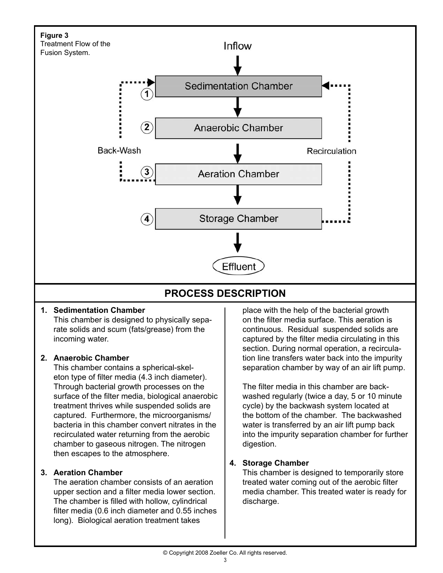

## **Sedimentation Chamber 1.**

This chamber is designed to physically separate solids and scum (fats/grease) from the incoming water.

#### **Anaerobic Chamber 2.**

This chamber contains a spherical-skeleton type of filter media (4.3 inch diameter). Through bacterial growth processes on the surface of the filter media, biological anaerobic treatment thrives while suspended solids are captured. Furthermore, the microorganisms/ bacteria in this chamber convert nitrates in the recirculated water returning from the aerobic chamber to gaseous nitrogen. The nitrogen then escapes to the atmosphere.

#### **Aeration Chamber 3.**

The aeration chamber consists of an aeration upper section and a filter media lower section. The chamber is filled with hollow, cylindrical filter media  $(0.6$  inch diameter and  $0.55$  inches long). Biological aeration treatment takes

place with the help of the bacterial growth on the filter media surface. This aeration is continuous. Residual suspended solids are captured by the filter media circulating in this section. During normal operation, a recirculation line transfers water back into the impurity separation chamber by way of an air lift pump.

The filter media in this chamber are backwashed regularly (twice a day, 5 or 10 minute cycle) by the backwash system located at the bottom of the chamber. The backwashed water is transferred by an air lift pump back into the impurity separation chamber for further digestion.

## **Storage Chamber 4.**

This chamber is designed to temporarily store treated water coming out of the aerobic filter media chamber. This treated water is ready for discharge.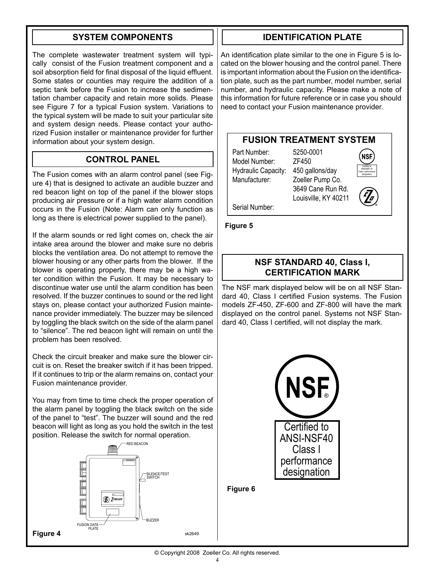## **SYSTEM COMPONENTS**

The complete wastewater treatment system will typically consist of the Fusion treatment component and a soil absorption field for final disposal of the liquid effluent. Some states or counties may require the addition of a septic tank before the Fusion to increase the sedimentation chamber capacity and retain more solids. Please see Figure 7 for a typical Fusion system. Variations to the typical system will be made to suit your particular site and system design needs. Please contact your authorized Fusion installer or maintenance provider for further information about your system design.

#### **CONTROL PANEL**

The Fusion comes with an alarm control panel (see Figure 4) that is designed to activate an audible buzzer and red beacon light on top of the panel if the blower stops producing air pressure or if a high water alarm condition occurs in the Fusion (Note: Alarm can only function as long as there is electrical power supplied to the panel).

If the alarm sounds or red light comes on, check the air intake area around the blower and make sure no debris blocks the ventilation area. Do not attempt to remove the blower housing or any other parts from the blower. If the blower is operating properly, there may be a high water condition within the Fusion. It may be necessary to discontinue water use until the alarm condition has been resolved. If the buzzer continues to sound or the red light stays on, please contact your authorized Fusion maintenance provider immediately. The buzzer may be silenced by toggling the black switch on the side of the alarm panel to "silence". The red beacon light will remain on until the problem has been resolved.

Check the circuit breaker and make sure the blower circuit is on. Reset the breaker switch if it has been tripped. If it continues to trip or the alarm remains on, contact your Fusion maintenance provider.

You may from time to time check the proper operation of the alarm panel by toggling the black switch on the side of the panel to "test". The buzzer will sound and the red beacon will light as long as you hold the switch in the test position. Release the switch for normal operation.



## **IDENTIFICATION PLATE**

An identification plate similar to the one in Figure 5 is located on the blower housing and the control panel. There is important information about the Fusion on the identification plate, such as the part number, model number, serial number, and hydraulic capacity. Please make a note of this information for future reference or in case you should need to contact your Fusion maintenance provider.

#### **FUSION TREATMENT SYSTEM**

Part Number: 5250-0001 Model Number: ZF450 Hydraulic Capacity: 450 gallons/day Manufacturer: Zoeller Pump Co.

3649 Cane Run Rd.

Louisville, KY 40211



**NSF** 

Serial Number:

**Figure 5**

#### **NSF STANDARD 40, Class I, CERTIFICATION MARK**

The NSF mark displayed below will be on all NSF Standard 40, Class I certified Fusion systems. The Fusion models ZF-450, ZF-600 and ZF-800 will have the mark displayed on the control panel. Systems not NSF Standard 40, Class I certified, will not display the mark.



**Figure 6**

© Copyright 2008 Zoeller Co. All rights reserved.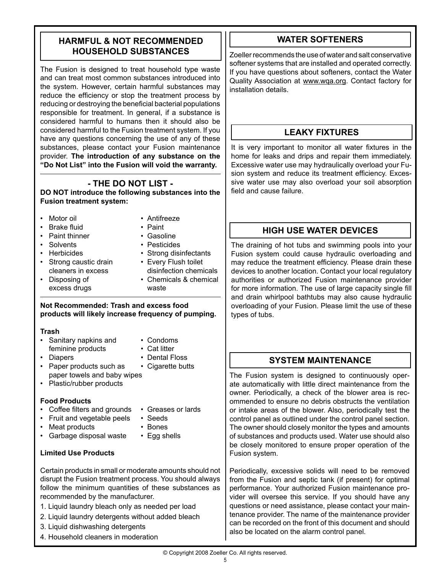## **HARMFUL & NOT RECOMMENDED HOUSEHOLD SUBSTANCES**

The Fusion is designed to treat household type waste and can treat most common substances introduced into the system. However, certain harmful substances may reduce the efficiency or stop the treatment process by reducing or destroying the beneficial bacterial populations responsible for treatment. In general, if a substance is considered harmful to humans then it should also be considered harmful to the Fusion treatment system. If you have any questions concerning the use of any of these substances, please contact your Fusion maintenance provider. **The introduction of any substance on the "Do Not List" into the Fusion will void the warranty.**

## **- THE DO NOT LIST -**

**DO NOT introduce the following substances into the Fusion treatment system:**

- Motor oil  **Antifreeze**
- Brake fluid Paint
- Paint thinner Gasoline
- 
- -
- Solvents Pesticides
- Herbicides Strong disinfectants
- Strong caustic drain Every Flush toilet
	- cleaners in excess disinfection chemicals
- Disposing of Chemicals & chemical excess drugs waste

#### **Not Recommended: Trash and excess food products will likely increase frequency of pumping.**

#### **Trash**

- Sanitary napkins and Condoms feminine products • Cat litter
- -
- Diapers Dental Floss
- Paper products such as Cigarette butts paper towels and baby wipes
- Plastic/rubber products

#### **Food Products**

- Coffee filters and grounds Greases or lards
- Fruit and vegetable peels Seeds
- Meat products Bones
- Garbage disposal waste Egg shells

#### **Limited Use Products**

Certain products in small or moderate amounts should not disrupt the Fusion treatment process. You should always follow the minimum quantities of these substances as recommended by the manufacturer.

- 1. Liquid laundry bleach only as needed per load
- 2. Liquid laundry detergents without added bleach
- 3. Liquid dishwashing detergents
- 4. Household cleaners in moderation

## **WATER SOFTENERS**

Zoeller recommends the use of water and salt conservative softener systems that are installed and operated correctly. If you have questions about softeners, contact the Water Quality Association at www.wqa.org. Contact factory for installation details.

## **LEAKY FIXTURES**

It is very important to monitor all water fixtures in the home for leaks and drips and repair them immediately. Excessive water use may hydraulically overload your Fusion system and reduce its treatment efficiency. Excessive water use may also overload your soil absorption field and cause failure.

## **HIGH USE WATER DEVICES**

The draining of hot tubs and swimming pools into your Fusion system could cause hydraulic overloading and may reduce the treatment efficiency. Please drain these devices to another location. Contact your local regulatory authorities or authorized Fusion maintenance provider for more information. The use of large capacity single fill and drain whirlpool bathtubs may also cause hydraulic overloading of your Fusion. Please limit the use of these types of tubs.

## **SYSTEM MAINTENANCE**

The Fusion system is designed to continuously operate automatically with little direct maintenance from the owner. Periodically, a check of the blower area is recommended to ensure no debris obstructs the ventilation or intake areas of the blower. Also, periodically test the control panel as outlined under the control panel section. The owner should closely monitor the types and amounts of substances and products used. Water use should also be closely monitored to ensure proper operation of the Fusion system.

Periodically, excessive solids will need to be removed from the Fusion and septic tank (if present) for optimal performance. Your authorized Fusion maintenance provider will oversee this service. If you should have any questions or need assistance, please contact your maintenance provider. The name of the maintenance provider can be recorded on the front of this document and should also be located on the alarm control panel.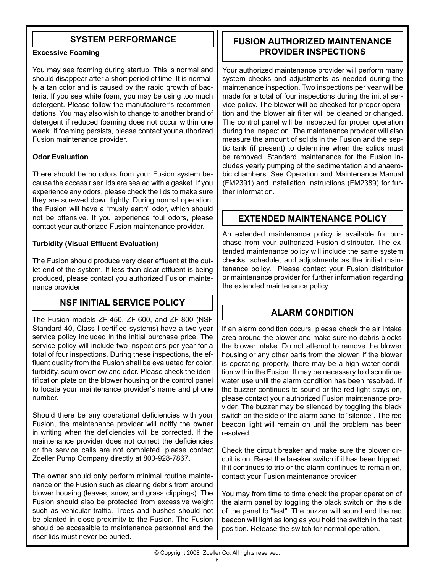## **SYSTEM PERFORMANCE**

#### **Excessive Foaming**

You may see foaming during startup. This is normal and should disappear after a short period of time. It is normally a tan color and is caused by the rapid growth of bacteria. If you see white foam, you may be using too much detergent. Please follow the manufacturer's recommendations. You may also wish to change to another brand of detergent if reduced foaming does not occur within one week. If foaming persists, please contact your authorized Fusion maintenance provider.

#### **Odor Evaluation**

There should be no odors from your Fusion system because the access riser lids are sealed with a gasket. If you experience any odors, please check the lids to make sure they are screwed down tightly. During normal operation, the Fusion will have a "musty earth" odor, which should not be offensive. If you experience foul odors, please contact your authorized Fusion maintenance provider.

#### **Turbidity (Visual Effluent Evaluation)**

The Fusion should produce very clear effluent at the outlet end of the system. If less than clear effluent is being produced, please contact you authorized Fusion maintenance provider.

## **NSF INITIAL SERVICE POLICY**

The Fusion models ZF-450, ZF-600, and ZF-800 (NSF Standard 40, Class I certified systems) have a two year service policy included in the initial purchase price. The service policy will include two inspections per year for a total of four inspections. During these inspections, the effluent quality from the Fusion shall be evaluated for color, turbidity, scum overflow and odor. Please check the identification plate on the blower housing or the control panel to locate your maintenance provider's name and phone number.

Should there be any operational deficiencies with your Fusion, the maintenance provider will notify the owner in writing when the deficiencies will be corrected. If the maintenance provider does not correct the deficiencies or the service calls are not completed, please contact Zoeller Pump Company directly at 800-928-7867.

The owner should only perform minimal routine maintenance on the Fusion such as clearing debris from around blower housing (leaves, snow, and grass clippings). The Fusion should also be protected from excessive weight such as vehicular traffic. Trees and bushes should not be planted in close proximity to the Fusion. The Fusion should be accessible to maintenance personnel and the riser lids must never be buried.

## **FUSION AUTHORIZED MAINTENANCE PROVIDER INSPECTIONS**

Your authorized maintenance provider will perform many system checks and adjustments as needed during the maintenance inspection. Two inspections per year will be made for a total of four inspections during the initial service policy. The blower will be checked for proper operation and the blower air filter will be cleaned or changed. The control panel will be inspected for proper operation during the inspection. The maintenance provider will also measure the amount of solids in the Fusion and the septic tank (if present) to determine when the solids must be removed. Standard maintenance for the Fusion includes yearly pumping of the sedimentation and anaerobic chambers. See Operation and Maintenance Manual (FM2391) and Installation Instructions (FM2389) for further information.

## **EXTENDED MAINTENANCE POLICY**

An extended maintenance policy is available for purchase from your authorized Fusion distributor. The extended maintenance policy will include the same system checks, schedule, and adjustments as the initial maintenance policy. Please contact your Fusion distributor or maintenance provider for further information regarding the extended maintenance policy.

## **ALARM CONDITION**

If an alarm condition occurs, please check the air intake area around the blower and make sure no debris blocks the blower intake. Do not attempt to remove the blower housing or any other parts from the blower. If the blower is operating properly, there may be a high water condition within the Fusion. It may be necessary to discontinue water use until the alarm condition has been resolved. If the buzzer continues to sound or the red light stays on, please contact your authorized Fusion maintenance provider. The buzzer may be silenced by toggling the black switch on the side of the alarm panel to "silence". The red beacon light will remain on until the problem has been resolved.

Check the circuit breaker and make sure the blower circuit is on. Reset the breaker switch if it has been tripped. If it continues to trip or the alarm continues to remain on, contact your Fusion maintenance provider.

You may from time to time check the proper operation of the alarm panel by toggling the black switch on the side of the panel to "test". The buzzer will sound and the red beacon will light as long as you hold the switch in the test position. Release the switch for normal operation.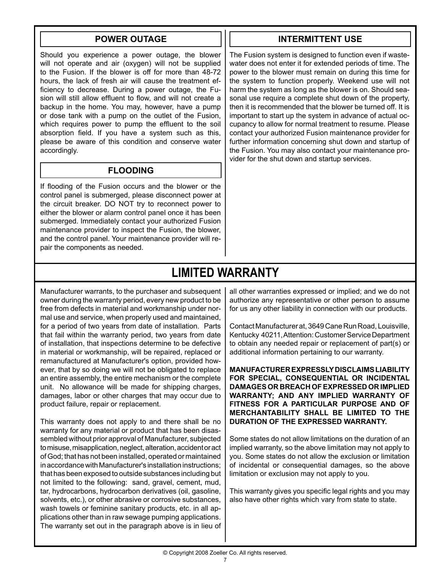#### **POWER OUTAGE**

Should you experience a power outage, the blower will not operate and air (oxygen) will not be supplied to the Fusion. If the blower is off for more than 48-72 hours, the lack of fresh air will cause the treatment efficiency to decrease. During a power outage, the Fusion will still allow effluent to flow, and will not create a backup in the home. You may, however, have a pump or dose tank with a pump on the outlet of the Fusion, which requires power to pump the effluent to the soil absorption field. If you have a system such as this, please be aware of this condition and conserve water accordingly.

## **FLOODING**

If flooding of the Fusion occurs and the blower or the control panel is submerged, please disconnect power at the circuit breaker. DO NOT try to reconnect power to either the blower or alarm control panel once it has been submerged. Immediately contact your authorized Fusion maintenance provider to inspect the Fusion, the blower, and the control panel. Your maintenance provider will repair the components as needed.

#### **INTERMITTENT USE**

The Fusion system is designed to function even if wastewater does not enter it for extended periods of time. The power to the blower must remain on during this time for the system to function properly. Weekend use will not harm the system as long as the blower is on. Should seasonal use require a complete shut down of the property, then it is recommended that the blower be turned off. It is important to start up the system in advance of actual occupancy to allow for normal treatment to resume. Please contact your authorized Fusion maintenance provider for further information concerning shut down and startup of the Fusion. You may also contact your maintenance provider for the shut down and startup services.

## **LIMITED WARRANTY**

Manufacturer warrants, to the purchaser and subsequent owner during the warranty period, every new product to be free from defects in material and workmanship under normal use and service, when properly used and maintained, for a period of two years from date of installation. Parts that fail within the warranty period, two years from date of installation, that inspections determine to be defective in material or workmanship, will be repaired, replaced or remanufactured at Manufacturer's option, provided however, that by so doing we will not be obligated to replace an entire assembly, the entire mechanism or the complete unit. No allowance will be made for shipping charges, damages, labor or other charges that may occur due to product failure, repair or replacement.

This warranty does not apply to and there shall be no warranty for any material or product that has been disassembled without prior approval of Manufacturer, subjected to misuse, misapplication, neglect, alteration, accident or act of God; that has not been installed, operated or maintained in accordance with Manufacturer's installation instructions; that has been exposed to outside substances including but not limited to the following: sand, gravel, cement, mud, tar, hydrocarbons, hydrocarbon derivatives (oil, gasoline, solvents, etc.), or other abrasive or corrosive substances, wash towels or feminine sanitary products, etc. in all applications other than in raw sewage pumping applications. The warranty set out in the paragraph above is in lieu of all other warranties expressed or implied; and we do not authorize any representative or other person to assume for us any other liability in connection with our products.

Contact Manufacturer at, 3649 Cane Run Road, Louisville, Kentucky 40211, Attention: Customer Service Department to obtain any needed repair or replacement of part(s) or additional information pertaining to our warranty.

**MANUFACTURER EXPRESSLY DISCLAIMS LIABILITY FOR SPECIAL, CONSEQUENTIAL OR INCIDENTAL DAM AG ES OR BREACH OF EX PRESSED OR IMPLIED WARRANTY; AND ANY IMPLIED WARRANTY OF FITNESS FOR A PARTICULAR PURPOSE AND OF MERCHANTABILITY SHALL BE LIMITED TO THE DURATION OF THE EXPRESSED WARRANTY.** 

Some states do not allow limitations on the duration of an implied warranty, so the above limitation may not apply to you. Some states do not allow the exclusion or limitation of incidental or consequential damages, so the above limitation or exclusion may not apply to you.

This warranty gives you specific legal rights and you may also have other rights which vary from state to state.